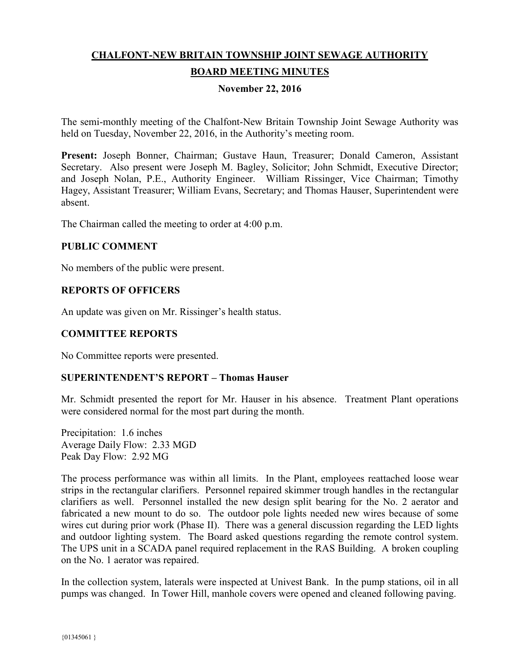# **CHALFONT-NEW BRITAIN TOWNSHIP JOINT SEWAGE AUTHORITY BOARD MEETING MINUTES**

# **November 22, 2016**

The semi-monthly meeting of the Chalfont-New Britain Township Joint Sewage Authority was held on Tuesday, November 22, 2016, in the Authority's meeting room.

**Present:** Joseph Bonner, Chairman; Gustave Haun, Treasurer; Donald Cameron, Assistant Secretary. Also present were Joseph M. Bagley, Solicitor; John Schmidt, Executive Director; and Joseph Nolan, P.E., Authority Engineer. William Rissinger, Vice Chairman; Timothy Hagey, Assistant Treasurer; William Evans, Secretary; and Thomas Hauser, Superintendent were absent.

The Chairman called the meeting to order at 4:00 p.m.

# **PUBLIC COMMENT**

No members of the public were present.

# **REPORTS OF OFFICERS**

An update was given on Mr. Rissinger's health status.

# **COMMITTEE REPORTS**

No Committee reports were presented.

# **SUPERINTENDENT'S REPORT – Thomas Hauser**

Mr. Schmidt presented the report for Mr. Hauser in his absence. Treatment Plant operations were considered normal for the most part during the month.

Precipitation: 1.6 inches Average Daily Flow: 2.33 MGD Peak Day Flow: 2.92 MG

The process performance was within all limits. In the Plant, employees reattached loose wear strips in the rectangular clarifiers. Personnel repaired skimmer trough handles in the rectangular clarifiers as well. Personnel installed the new design split bearing for the No. 2 aerator and fabricated a new mount to do so. The outdoor pole lights needed new wires because of some wires cut during prior work (Phase II). There was a general discussion regarding the LED lights and outdoor lighting system. The Board asked questions regarding the remote control system. The UPS unit in a SCADA panel required replacement in the RAS Building. A broken coupling on the No. 1 aerator was repaired.

In the collection system, laterals were inspected at Univest Bank. In the pump stations, oil in all pumps was changed. In Tower Hill, manhole covers were opened and cleaned following paving.